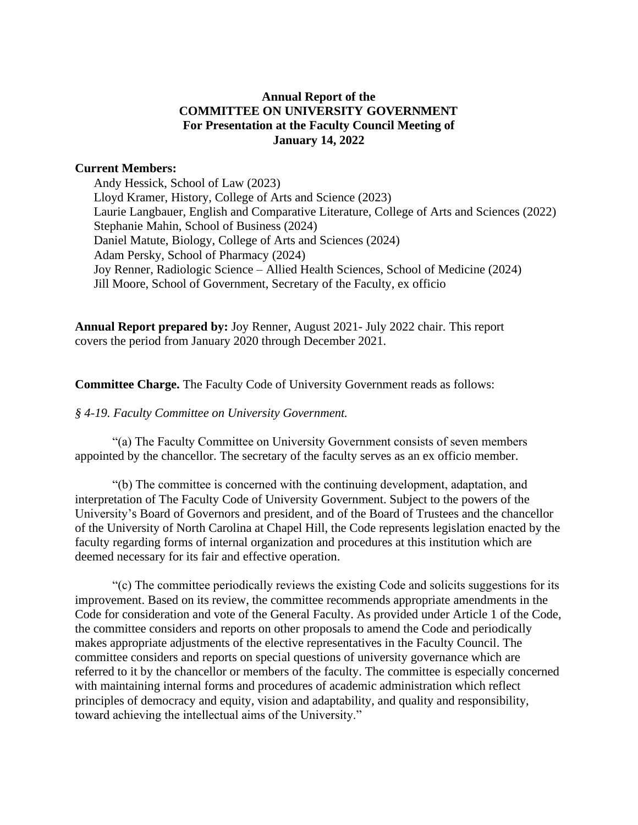## **Annual Report of the COMMITTEE ON UNIVERSITY GOVERNMENT For Presentation at the Faculty Council Meeting of January 14, 2022**

### **Current Members:**

Andy Hessick, School of Law (2023) Lloyd Kramer, History, College of Arts and Science (2023) Laurie Langbauer, English and Comparative Literature, College of Arts and Sciences (2022) Stephanie Mahin, School of Business (2024) Daniel Matute, Biology, College of Arts and Sciences (2024) Adam Persky, School of Pharmacy (2024) Joy Renner, Radiologic Science – Allied Health Sciences, School of Medicine (2024) Jill Moore, School of Government, Secretary of the Faculty, ex officio

**Annual Report prepared by:** Joy Renner, August 2021- July 2022 chair. This report covers the period from January 2020 through December 2021.

**Committee Charge.** The Faculty Code of University Government reads as follows:

#### *§ 4-19. Faculty Committee on University Government.*

"(a) The Faculty Committee on University Government consists of seven members appointed by the chancellor. The secretary of the faculty serves as an ex officio member.

"(b) The committee is concerned with the continuing development, adaptation, and interpretation of The Faculty Code of University Government. Subject to the powers of the University's Board of Governors and president, and of the Board of Trustees and the chancellor of the University of North Carolina at Chapel Hill, the Code represents legislation enacted by the faculty regarding forms of internal organization and procedures at this institution which are deemed necessary for its fair and effective operation.

"(c) The committee periodically reviews the existing Code and solicits suggestions for its improvement. Based on its review, the committee recommends appropriate amendments in the Code for consideration and vote of the General Faculty. As provided under Article 1 of the Code, the committee considers and reports on other proposals to amend the Code and periodically makes appropriate adjustments of the elective representatives in the Faculty Council. The committee considers and reports on special questions of university governance which are referred to it by the chancellor or members of the faculty. The committee is especially concerned with maintaining internal forms and procedures of academic administration which reflect principles of democracy and equity, vision and adaptability, and quality and responsibility, toward achieving the intellectual aims of the University."